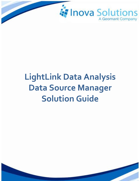

# **LightLink Data Analysis Data Source Manager Solution Guide**

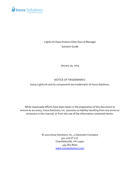

## LightLink Data Analysis Data Source Manager Solution Guide

January 30, 2015

#### NOTICE OF TRADEMARKS:

Inova LightLink and its components are trademarks of Inova Solutions.

While reasonable efforts have been taken in the preparation of this document to ensure its accuracy, Inova Solutions, Inc. assumes no liability resulting from any errors or omissions in this manual, or from the use of the information contained herein.

> © 2021 Inova Solutions, Inc., a Geomant Company 971 2nd ST S.E. Charlottesville, VA 22902 434.817.8000 [www.inovasolutions.com](http://www.inovasolutions.com/)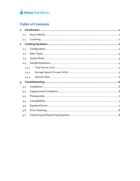

## **Table of Contents**

| $\mathbf{1}$ .   |        |  |
|------------------|--------|--|
|                  | 1.1.   |  |
|                  | 1.2.   |  |
| 2.               |        |  |
|                  | 2.1.   |  |
|                  | 2.2.   |  |
|                  | 2.3.   |  |
|                  | 2.4.   |  |
|                  | 2.4.1. |  |
| 2.4.2.           |        |  |
|                  | 2.4.3. |  |
| $\overline{3}$ . |        |  |
|                  | 3.1.   |  |
|                  | 3.2.   |  |
|                  | 3.3.   |  |
|                  | 3.4.   |  |
|                  | 3.5.   |  |
|                  | 3.6.   |  |
|                  | 3.7.   |  |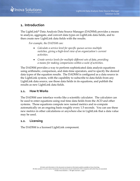

#### <span id="page-3-0"></span>**1. Introduction**

The LightLink® Data Analysis Data Source Manager (DADSM) provides a means to analyze, aggregate, and convert data types on LightLink data fields, and to then create new LightLink data fields with the results.

*For example, the DADSM can:*

- *Calculate a service level for specific queues across multiple switches, giving a high-level view of an organization's current activities.*
- *Create service levels for multiple different sets of data, providing a means for making comparisons within a suite of activities.*

The DADSM provides a way to perform sophisticated data analysis equations using arithmetic, comparison, and date-time operators, and to specify the desired data types of the equation results. The DADSM is configured as a data source in the LightLink system, with the capability to subscribe to data fields from any LightLink data source, use those data fields in its equations, and publish the results as new LightLink data fields.

#### <span id="page-3-1"></span>**1.1. How It Works**

The DADSM user interface works like a scientific calculator. The calculator can be used to enter equations using real time data fields from the ACD and other systems. Those equations compute new named metrics and re-compute automatically on an ongoing basis roughly every 1.5 seconds. You can use these new metrics in other calculations or anywhere else in LightLink that a data value may be used.

#### <span id="page-3-2"></span>**1.2. Licensing**

The DADSM is a licensed LightLink component.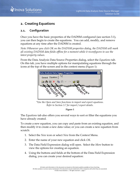

## <span id="page-4-0"></span>**2. Creating Equations**

#### <span id="page-4-1"></span>**2.1. Configuration**

Once you have the basic properties of the DADSM configured (see section [3.1\)](#page-8-2), you can then begin to create the equations. You can add, modify, and remove equations at any time after the DADSM is created.

*Note: Whenever you click OK on the DADSM properties dialog, the DADSM will mark all existing DADSM data fields offline for a moment while it reconfigures to use the latest property values.*

From the Data Analysis Data Source Properties dialog, select the *Equations* tab*.* On this tab, you have multiple options for manipulating equations through the icons at the top of the screen and in the context menu [\(Figure 1\)](#page-4-2):



*\*Use the Open and Save functions to import and export equations. Refer to Section [3.7](#page-10-1) for import / export details.*

**Figure 1**

<span id="page-4-2"></span>The *Equations* tab also offers you several ways to sort or filter the equations you have already created.

To create a new equation, you can copy and paste from an existing equation, and then modify it to create a new data value; or you can create a new equation from scratch:

- 1. Select the *New* icon or select *New* from the Context Menu.
- 2. Enter the name of your new equation and click *OK.*
- 3. The Data Field Expression dialog will open. Select the *More* button to view the options for creating an equation.
- 4. Using the buttons and fields at the bottom of the Data Field Expression dialog, you can create your desired equation: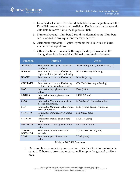- a. Data field selection To select data fields for your equation, use the Data Field tree at the top of the dialog. Double click on the specific data field to move it into the Expression field.
- b. Numeric keypad Numbers 0-9 and the decimal point. Numbers can be added to any equation wherever needed.
- c. Arithmetic operators Typical symbols that allow you to build mathematical equations.
- d. Other functions Available through the drop down tab in the dialog, these functions add additional computation features.

| Function                       | Purpose                                                                    | Usage                        |  |
|--------------------------------|----------------------------------------------------------------------------|------------------------------|--|
| <b>AVERAGE</b>                 | Returns the average of a series of<br>numbers.                             | AVERAGE (Num1, Num2, Num3,)  |  |
| <b>BEGINS</b>                  | Returns true if the specified string<br>begins with the provided substring | BEGINS (string, substring)   |  |
| <b>BLANK</b>                   | Returns true if the specified string<br>is empty                           | <b>BLANK</b> (string)        |  |
| <b>CONTAINS</b>                | Returns true if the specified string<br>contains the provided substring    | CONTAINS (string, substring) |  |
| <b>DAY</b>                     | Returns the day, given a date<br>value.                                    | DAY (date)                   |  |
| <b>HOURS</b>                   | Returns the hours, given a time<br>value.                                  | HOURS (time)                 |  |
| <b>MAX</b>                     | Returns the Maximum value from<br>a series of numbers.                     | MAX (Num1, Num2, Num3,)      |  |
| <b>MIN</b>                     | Returns the Minimum value from a<br>series of numbers.                     | MIN (Num1, Num2, Num3,)      |  |
| <b>MINUTES</b>                 | Returns the minutes, given a time<br>value.                                | MINUTES (time)               |  |
| <b>MONTH</b>                   | Returns the month, given a date<br>value.                                  | MONTH (date)                 |  |
| <b>SECONDS</b>                 | Returns the seconds, given a time<br>value.                                | SECONDS (time)               |  |
| <b>TOTAL</b><br><b>SECONDS</b> | Returns the given time in total<br>seconds.                                | TOTAL SECONDS (time)         |  |
| <b>YEAR</b>                    | Returns the year given a date<br>value.                                    | YEAR (date)                  |  |

#### **Table 1 – DADSM Functions**

5. Once you have completed your equation, click the *Check* button to check syntax. If there are errors, your cursor will jump to the general problem area.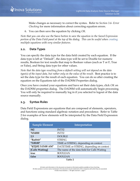Make changes as necessary to correct the syntax. Refer to *Section [3.6-](#page-10-0) [Error](#page-10-0)  [Checking](#page-10-0)* for more information about correcting equation errors.

6. You can then save the equation by clicking *OK.*

*Note that you can also use the* Save *button to save the equation in the Saved Expression portion of the Data Field panel at the top of the dialog. This can be useful when creating multiple equations with very similar features.*

#### <span id="page-6-0"></span>**2.2. Data Types**

You can specify the data type for the data field created by each equation. If the data type is left at "Default", the data type will be set to Double for numeric results, Boolean for text results that map to Boolean values (such as T or F, True or False), and String data type for other values.

*Note that the data type resulting from a default setting will not depend on the data type(s) of the input data, but rather only on the value of the result.* Best practice is to set the data type for the result of each equation. You can do so after creating the equation on the Equations tab of the DADSM Properties dialog.

Once you have created your equations and have set their data types, click *OK* on the DADSM properties dialog. The DADSM will automatically begin processing. You will only be required to manually log in if you selected to logout of the data source manually.

#### <span id="page-6-1"></span>**2.3. Syntax Rules**

Data Field Expressions are equations that are composed of elements, operators, and functions using standard algebraic notation and precedence. Refer to [Table](#page-6-2)  [2](#page-6-2) for examples of how elements will be interpreted by the Data Field Expression dialog.

<span id="page-6-2"></span>

| <b>Sample Element</b> | Interpretation                               |  |
|-----------------------|----------------------------------------------|--|
| 542                   | INT32                                        |  |
| 7654000               | INT32                                        |  |
| 2.5                   | <b>DOUBLE</b>                                |  |
| "Rabbit"              | <b>STRING</b>                                |  |
| "5:00:00"             | TIME or STRING, depending on context         |  |
| "9/22/02 3:15:00 AM"  | DATETIME or STRING, depending on context     |  |
| [Calls Waiting]       | The name of the data field for Calls Waiting |  |
| true                  | <b>BOOLEAN</b>                               |  |
| false                 | <b>BOOLEAN</b>                               |  |

| DІ<br>ш |  |
|---------|--|
|---------|--|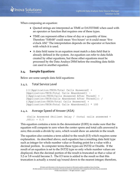When composing an equation:

- Quoted strings are interpreted as TIME or DATETIME when used with an operator or function that requires one of these types.
- TIME can represent either a time of day or a quantity of time. Therefore "5:00:00" could mean "five hours" or it could mean "five o'clock AM." The interpretation depends on the operator or function with which it is used.
- A data field name in an equation must match a data field that is already defined in the system. An equation can refer to data fields created by other equations, but those other equations must be processed by the Data Analsys DSM before the resulting data fields can used in another equation.

#### <span id="page-7-0"></span>**2.4. Sample Equations**

Below are some sample data field equations:

#### <span id="page-7-1"></span>2.4.1. Total Service Level

```
((([Application:TECH:Total Calls Answered] + 
[Application:TECH:Total Calls Abandoned]) -
([Application:TECH:Calls Answered After Thresh] + 
[Application:TECH:Calls Abandoned After Thresh])) / 
([Application:TECH:Total Calls Answered] + 
[Application:TECH:Total Calls Abandoned])) * 100
```
#### <span id="page-7-2"></span>2.4.2. Average Speed of Answer (ASA)

```
(Calls Answered Skillset Delay / (total calls answered + 
.001)) + 0.5
```
This equation contains a term in the denominator (0.001) to make sure that the equation will compute to zero when the center opens and total calls answered is zero; this avoids a divide by zero, which would show an asterisk in the result.

The equation also contains a term added to the result (0.5) which requires some explanation. As described above, each equation has a resulting data field type such as integer for whole number value or floating point for a value with a decimal portion. In computer terms these types are INT32 or Double. If the result of an equation is set to the INT32 type so only whole number values are displayed, then the decimal portion of the result is truncated so that a value of 3.2 or 3.8 would become 3. The 0.5 term is added to the result so that this truncation is actually a round up/round down to the nearest integer; therefore,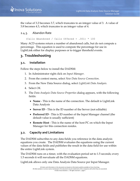

the value of 3.2 becomes 3.7, which truncates to an integer value of 3. A value of 3.8 becomes 4.3, which truncates to an integer value of 4.

#### 2.4.3. Abandon Rate

<span id="page-8-0"></span>(Calls Abandoned / Calls Offered + .001) \* 100

Many ACD systems return a number of abandoned calls, but do not compute a percentage. This equation is used to compute the percentage for use in LightLink either for display purposes or to trigger threshold events.

### <span id="page-8-1"></span>**3. Troubleshooting**

#### <span id="page-8-2"></span>**3.1. Installation**

Follow the steps below to install the DADSM:

- 1. In Administrator right click on *Input Manager*.
- 2. From the context menu, select *New Data Source Connection*.
- 3. From the New Data Source dialog, select *LightLink Data Analysis.*
- 4. Select *OK.*
- 5. The *Data Analysis Data Source Properties* dialog appears, with the following fields:
	- **Name** This is the name of the connection. The default is LightLink Data Analysis
	- **Server ID** This is the ID number of the Server (not editable)
	- **Preferred ID** This is ID number of the Input Manager channel (the default value is usually sufficient)
	- **Remote Host** This is the name of the host PC on which the Input Manager for this connection resides.

#### <span id="page-8-3"></span>**3.2. Capacity and Limitations**

The DADSM subscribes to any data fields you reference in the data analysis equations you create. The DADSM evaluates the equations using the current values of the data fields and publishes the result in the data field for use within the entire LightLink system.

The DADSM runs on a timer, with the evaluation period set to 1.5 seconds; every 1.5 seconds it will reevaluate all the DADSM equations.

LightLink allows only one Data Analysis Data Source per Input Manager.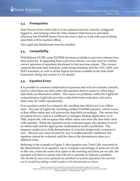#### <span id="page-9-0"></span>**3.3. Prerequisites**

Data Sources from which data is to be captured must be correctly configured, logged in, and running when the Data Analysis Data Source is activated; otherwise the DADSM doesn't have the source data to work with and resulting data fields will be marked offline.

The LightLink Middleware must be installed.

#### <span id="page-9-1"></span>**3.4. Compatibility**

With Release 5.8.280, some DADSM functions available in previous releases have been removed. If upgrading from a previous release, you may need to confirm correct operation of equations developed in that previous release. This version supports the time-date functions, some string functions, and the AVG, MIN, and MAX functions, as well as all the logical functions available in the Data Field Expression dialog (see section [2.1](#page-4-1) for details).

#### <span id="page-9-2"></span>**3.5. Equation Errors**

It is possible to construct mathematical equations that will not evaluate correctly, such as when there are data values the equation doesn't expect or when input data fields are themselves offline. This causes no problems within the LightLink system because LightLink provides a data field status indication, but such a status may be visible operationally.

If an equation cannot be evaluated, the resulting data field is set to an offline state. Any part of LightLink, including another DADSM equation, will be aware of that offline status and will process the data field accordingly. This means that an output device, such as a wallboard or marquee desktop application or an XML output file, will recognize that offline status and show the data field value with asterisks. When the equation can be evaluated again, the equation is set to an online state and the appropriate mathematical result is published. This sequence might occur if the denominator of a fraction temporarily evaluates to zero. Because any value divided by zero is mathematically undefined, the equation cannot be evaluated until the data in the denominator takes on a different value.

Referring to the example in [Figure 2,](#page-10-2) this equation uses Total Calls Answered in the denominator of an equation, say to compute a percentage of some sort of call. In this case, when the center first opens in the morning and there are no calls, the equation will fail to evaluate and will use to asterisks to indicate a problem. The divide by zero error presents no problem to system operation; *the asterisks can be avoided by adding a small number to the denominator as shown*.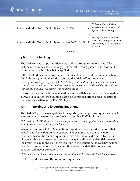| ([some calls] / Total Calls Answered) * 100           | This equation will show<br>asterisks when the center first<br>opens in the morning.                       |
|-------------------------------------------------------|-----------------------------------------------------------------------------------------------------------|
| $([some calls]/ (TotalCalls Answered + 0.001)) * 100$ | This equation will show 0<br>when the center first opens in<br>the morning if the numerator<br>is also 0. |

**Figure 2**

#### <span id="page-10-2"></span><span id="page-10-0"></span>**3.6. Error Checking**

The DADSM has support for detecting and reporting on syntax errors. This includes errors such as the data type of the value being passed in is incorrect for the function in which it is being applied.

If the DADSM evaluates an equation that results in an invalid number (such as a divide by zero), it will mark the resulting data field offline and create a corresponding log entry in the DADSM log. *Note that the equation will continue to evaluate, and when the error condition no longer occurs, the resulting data field will go back online and show the proper value automatically.*

If a source data field within an equation is not available at the time of evaluating a DADSM equation, the resulting data field is marked offline and a log entry to that effect is written to the DADSM log.

#### <span id="page-10-1"></span>**3.7. Importing and Exporting Equations**

The DADSM provides a capability for exporting and importing equations, which is useful as a backup or for transferring to another DADSM instance.

*Note that the DADSM import removes any already existing equations and replaces them with the equations specified by the import.*

When performing a DADSM equations import, you can import equations that specify data fields that do not yet exist. For example, you can have two equations where the second equation refers to the data field created by the first. However, this also means that there is no way to validate the data field names in the imported equations, so if there is a typo in the equation, the DADSM will not be able to figure that out. If that condition exists, the data field for such an equation will never be created.

*Note that you can import equations incrementally to DADSM with the following steps:*

1. Export the currently configured equations.